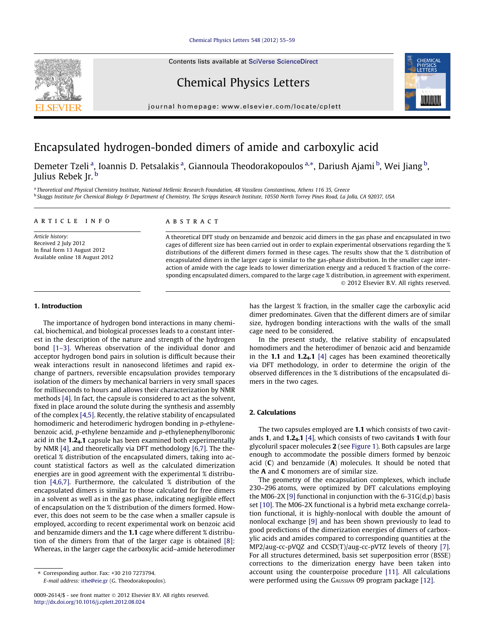### [Chemical Physics Letters 548 \(2012\) 55–59](http://dx.doi.org/10.1016/j.cplett.2012.08.024)

Contents lists available at [SciVerse ScienceDirect](http://www.sciencedirect.com/science/journal/00092614)

# Chemical Physics Letters

journal homepage: [www.elsevier.com/locate/cplett](http://www.elsevier.com/locate/cplett)



# Encapsulated hydrogen-bonded dimers of amide and carboxylic acid

Demeter Tzeli<sup>a</sup>, Ioannis D. Petsalakis<sup>a</sup>, Giannoula Theodorakopoulos<sup>a,»</sup>, Dariush Ajami<sup>b</sup>, Wei Jiang<sup>b</sup>, Julius Rebek Ir.<sup>b</sup>

<sup>a</sup> Theoretical and Physical Chemistry Institute, National Hellenic Research Foundation, 48 Vassileos Constantinou, Athens 116 35, Greece <sup>b</sup> Skaggs Institute for Chemical Biology & Department of Chemistry, The Scripps Research Institute, 10550 North Torrey Pines Road, La Jolla, CA 92037, USA

### article info

Article history: Received 2 July 2012 In final form 13 August 2012 Available online 18 August 2012

# **ABSTRACT**

A theoretical DFT study on benzamide and benzoic acid dimers in the gas phase and encapsulated in two cages of different size has been carried out in order to explain experimental observations regarding the % distributions of the different dimers formed in these cages. The results show that the % distribution of encapsulated dimers in the larger cage is similar to the gas-phase distribution. In the smaller cage interaction of amide with the cage leads to lower dimerization energy and a reduced % fraction of the corresponding encapsulated dimers, compared to the large cage % distribution, in agreement with experiment. - 2012 Elsevier B.V. All rights reserved.

# 1. Introduction

The importance of hydrogen bond interactions in many chemical, biochemical, and biological processes leads to a constant interest in the description of the nature and strength of the hydrogen bond [\[1–3\].](#page-3-0) Whereas observation of the individual donor and acceptor hydrogen bond pairs in solution is difficult because their weak interactions result in nanosecond lifetimes and rapid exchange of partners, reversible encapsulation provides temporary isolation of the dimers by mechanical barriers in very small spaces for milliseconds to hours and allows their characterization by NMR methods [\[4\]](#page-4-0). In fact, the capsule is considered to act as the solvent, fixed in place around the solute during the synthesis and assembly of the complex [\[4,5\]](#page-4-0). Recently, the relative stability of encapsulated homodimeric and heterodimeric hydrogen bonding in p-ethylenebenzoic acid, p-ethylene benzamide and p-ethylenephenylboronic acid in the  $1.2<sub>4</sub>$ .1 capsule has been examined both experimentally by NMR [\[4\]](#page-4-0), and theoretically via DFT methodology [\[6,7\]](#page-4-0). The theoretical % distribution of the encapsulated dimers, taking into account statistical factors as well as the calculated dimerization energies are in good agreement with the experimental % distribution [\[4,6,7\].](#page-4-0) Furthermore, the calculated % distribution of the encapsulated dimers is similar to those calculated for free dimers in a solvent as well as in the gas phase, indicating negligible effect of encapsulation on the % distribution of the dimers formed. However, this does not seem to be the case when a smaller capsule is employed, according to recent experimental work on benzoic acid and benzamide dimers and the 1.1 cage where different % distribution of the dimers from that of the larger cage is obtained [\[8\]:](#page-4-0) Whereas, in the larger cage the carboxylic acid–amide heterodimer

has the largest % fraction, in the smaller cage the carboxylic acid dimer predominates. Given that the different dimers are of similar size, hydrogen bonding interactions with the walls of the small cage need to be considered.

In the present study, the relative stability of encapsulated homodimers and the heterodimer of benzoic acid and benzamide in the 1.1 and  $1.2<sub>4</sub>$ .1 [\[4\]](#page-4-0) cages has been examined theoretically via DFT methodology, in order to determine the origin of the observed differences in the % distributions of the encapsulated dimers in the two cages.

## 2. Calculations

The two capsules employed are 1.1 which consists of two cavitands 1, and  $1.2<sub>4</sub>$ .1 [\[4\]](#page-4-0), which consists of two cavitands 1 with four glycoluril spacer molecules 2 (see [Figure 1\)](#page-1-0). Both capsules are large enough to accommodate the possible dimers formed by benzoic acid  $(C)$  and benzamide  $(A)$  molecules. It should be noted that the A and C monomers are of similar size.

The geometry of the encapsulation complexes, which include 230–296 atoms, were optimized by DFT calculations employing the M06-2X [\[9\]](#page-4-0) functional in conjunction with the 6-31G(d,p) basis set [\[10\].](#page-4-0) The M06-2X functional is a hybrid meta exchange correlation functional, it is highly-nonlocal with double the amount of nonlocal exchange [\[9\]](#page-4-0) and has been shown previously to lead to good predictions of the dimerization energies of dimers of carboxylic acids and amides compared to corresponding quantities at the MP2/aug-cc-pVQZ and CCSD(T)/aug-cc-pVTZ levels of theory [\[7\].](#page-4-0) For all structures determined, basis set superposition error (BSSE) corrections to the dimerization energy have been taken into account using the counterpoise procedure [\[11\]](#page-4-0). All calculations were performed using the GAUSSIAN 09 program package [\[12\]](#page-4-0).

<sup>⇑</sup> Corresponding author. Fax: +30 210 7273794. E-mail address: [ithe@eie.gr](mailto:ithe@eie.gr) (G. Theodorakopoulos).

<sup>0009-2614/\$ -</sup> see front matter © 2012 Elsevier B.V. All rights reserved. <http://dx.doi.org/10.1016/j.cplett.2012.08.024>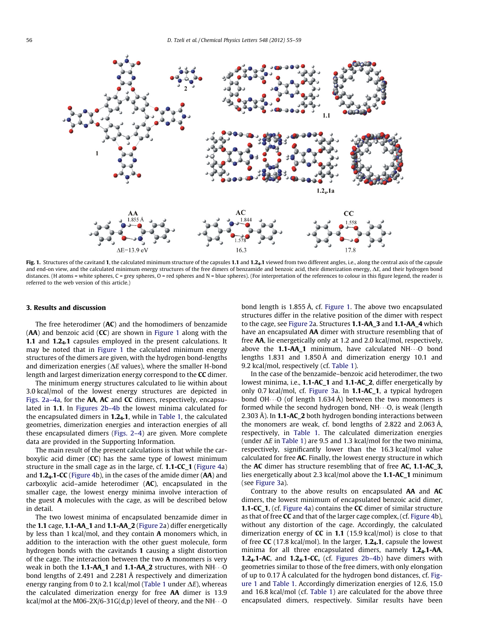<span id="page-1-0"></span>

Fig. 1. Structures of the cavitand 1, the calculated minimum structure of the capsules 1.1 and 1.2<sub>4</sub>.1 viewed from two different angles, i.e., along the central axis of the capsule and end-on view, and the calculated minimum energy structures of the free dimers of benzamide and benzoic acid, their dimerization energy,  $\Delta E$ , and their hydrogen bond distances. (H atoms = white spheres, C = grey spheres, O = red spheres and N = blue spheres). (For interpretation of the references to colour in this figure legend, the reader is referred to the web version of this article.)

## 3. Results and discussion

The free heterodimer  $(AC)$  and the homodimers of benzamide  $(AA)$  and benzoic acid  $(CC)$  are shown in Figure 1 along with the 1.1 and 1.2<sub>4</sub>.1 capsules employed in the present calculations. It may be noted that in Figure 1 the calculated minimum energy structures of the dimers are given, with the hydrogen bond-lengths and dimerization energies ( $\Delta E$  values), where the smaller H-bond length and largest dimerization energy correspond to the CC dimer.

The minimum energy structures calculated to lie within about 3.0 kcal/mol of the lowest energy structures are depicted in [Figs. 2a–4a](#page-2-0), for the AA, AC and CC dimers, respectively, encapsulated in 1.1. In [Figures 2b–4b](#page-2-0) the lowest minima calculated for the encapsulated dimers in  $1.24.1$ , while in [Table 1](#page-2-0), the calculated geometries, dimerization energies and interaction energies of all these encapsulated dimers ([Figs. 2–4](#page-2-0)) are given. More complete data are provided in the Supporting Information.

The main result of the present calculations is that while the carboxylic acid dimer (CC) has the same type of lowest minimum structure in the small cage as in the large, cf. 1.1-CC\_1 ([Figure 4a](#page-3-0)) and 1.24.1-CC [\(Figure 4b](#page-3-0)), in the cases of the amide dimer (AA) and carboxylic acid–amide heterodimer (AC), encapsulated in the smaller cage, the lowest energy minima involve interaction of the guest A molecules with the cage, as will be described below in detail.

The two lowest minima of encapsulated benzamide dimer in the 1.1 cage, 1.1-AA\_1 and 1.1-AA\_2 ([Figure 2a](#page-2-0)) differ energetically by less than 1 kcal/mol, and they contain A monomers which, in addition to the interaction with the other guest molecule, form hydrogen bonds with the cavitands 1 causing a slight distortion of the cage. The interaction between the two A monomers is very weak in both the **1.1-AA\_1** and **1.1-AA\_2** structures, with NH $\cdots$ O bond lengths of 2.491 and 2.281 Å respectively and dimerization energy ranging from 0 to 2.1 kcal/mol [\(Table 1](#page-2-0) under  $\Delta E$ ), whereas the calculated dimerization energy for free AA dimer is 13.9 kcal/mol at the M06-2X/6-31G(d,p) level of theory, and the NH $\cdots$ O

bond length is 1.855 Å, cf. Figure 1. The above two encapsulated structures differ in the relative position of the dimer with respect to the cage, see [Figure 2a](#page-2-0). Structures 1.1-AA\_3 and 1.1-AA\_4 which have an encapsulated AA dimer with structure resembling that of free AA, lie energetically only at 1.2 and 2.0 kcal/mol, respectively, above the  $1.1$ -AA\_1 minimum, have calculated NH $\cdots$ O bond lengths 1.831 and 1.850 Å and dimerization energy 10.1 and 9.2 kcal/mol, respectively (cf. [Table 1\)](#page-2-0).

In the case of the benzamide–benzoic acid heterodimer, the two lowest minima, i.e., 1.1-AC\_1 and 1.1-AC\_2, differ energetically by only 0.7 kcal/mol, cf. [Figure 3](#page-3-0)a. In 1.1-AC\_1, a typical hydrogen bond OH $\cdots$ O (of length 1.634 Å) between the two monomers is formed while the second hydrogen bond,  $NH \cdots$ O, is weak (length 2.303 Å). In **1.1-AC\_2** both hydrogen bonding interactions between the monomers are weak, cf. bond lengths of 2.822 and 2.063 Å, respectively, in [Table 1](#page-2-0). The calculated dimerization energies (under  $\Delta E$  in [Table 1\)](#page-2-0) are 9.5 and 1.3 kcal/mol for the two minima, respectively, significantly lower than the 16.3 kcal/mol value calculated for free AC. Finally, the lowest energy structure in which the AC dimer has structure resembling that of free AC, 1.1-AC 3, lies energetically about 2.3 kcal/mol above the 1.1-AC\_1 minimum (see [Figure 3a](#page-3-0)).

Contrary to the above results on encapsulated AA and AC dimers, the lowest minimum of encapsulated benzoic acid dimer, 1.1-CC\_1, (cf. [Figure 4](#page-3-0)a) contains the CC dimer of similar structure as that of free CC and that of the larger cage complex, (cf. [Figure 4](#page-3-0)b), without any distortion of the cage. Accordingly, the calculated dimerization energy of  $CC$  in 1.1 (15.9 kcal/mol) is close to that of free CC (17.8 kcal/mol). In the larger,  $1.2<sub>4</sub>$ , capsule the lowest minima for all three encapsulated dimers, namely  $1.2<sub>4</sub>$ .1-AA, **1.2<sub>4</sub>.1-AC**, and **1.2<sub>4</sub>.1-CC**, (cf. Figures  $2b-4b$ ) have dimers with geometries similar to those of the free dimers, with only elongation of up to 0.17 Å calculated for the hydrogen bond distances, cf. Figure 1 and [Table 1.](#page-2-0) Accordingly dimerization energies of 12.6, 15.0 and 16.8 kcal/mol (cf. [Table 1\)](#page-2-0) are calculated for the above three encapsulated dimers, respectively. Similar results have been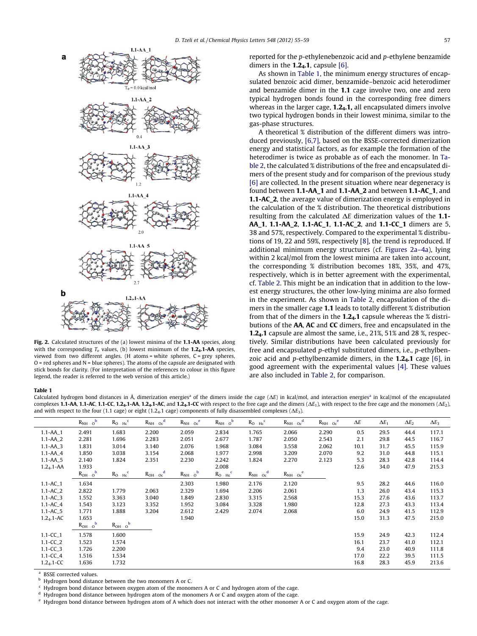<span id="page-2-0"></span>

Fig. 2. Calculated structures of the (a) lowest minima of the 1.1-AA species, along with the corresponding  $T_e$  values, (b) lowest minimum of the **1.2<sub>4</sub>.1-AA** species, viewed from two different angles. (H atoms = white spheres, C = grey spheres,  $O$  = red spheres and  $N$  = blue spheres). The atoms of the capsule are designated with stick bonds for clarity. (For interpretation of the references to colour in this figure legend, the reader is referred to the web version of this article.)

reported for the p-ethylenebenzoic acid and p-ethylene benzamide dimers in the  $1.2<sub>4</sub>$ .1, capsule [\[6\].](#page-4-0)

As shown in Table 1, the minimum energy structures of encapsulated benzoic acid dimer, benzamide–benzoic acid heterodimer and benzamide dimer in the 1.1 cage involve two, one and zero typical hydrogen bonds found in the corresponding free dimers whereas in the larger cage,  $1.2<sub>4</sub>$ .1, all encapsulated dimers involve two typical hydrogen bonds in their lowest minima, similar to the gas-phase structures.

A theoretical % distribution of the different dimers was introduced previously, [\[6,7\]](#page-4-0), based on the BSSE-corrected dimerization energy and statistical factors, as for example the formation of the heterodimer is twice as probable as of each the monomer. In [Ta](#page-3-0)[ble 2,](#page-3-0) the calculated % distributions of the free and encapsulated dimers of the present study and for comparison of the previous study [\[6\]](#page-4-0) are collected. In the present situation where near degeneracy is found between 1.1-AA\_1 and 1.1-AA\_2 and between 1.1-AC\_1, and 1.1-AC\_2, the average value of dimerization energy is employed in the calculation of the % distribution. The theoretical distributions resulting from the calculated  $\Delta E$  dimerization values of the 1.1-AA\_1, 1.1-AA\_2, 1.1-AC\_1, 1.1-AC\_2, and 1.1-CC\_1 dimers are 5, 38 and 57%, respectively. Compared to the experimental % distributions of 19, 22 and 59%, respectively [\[8\],](#page-4-0) the trend is reproduced. If additional minimum energy structures (cf. Figures 2a–4a), lying within 2 kcal/mol from the lowest minima are taken into account, the corresponding % distribution becomes 18%, 35%, and 47%, respectively, which is in better agreement with the experimental, cf. [Table 2.](#page-3-0) This might be an indication that in addition to the lowest energy structures, the other low-lying minima are also formed in the experiment. As shown in [Table 2](#page-3-0), encapsulation of the dimers in the smaller cage 1.1 leads to totally different % distribution from that of the dimers in the  $1.2<sub>4</sub>$ . Capsule whereas the % distributions of the AA, AC and CC dimers, free and encapsulated in the 1.2<sub>4</sub>.1 capsule are almost the same, i.e., 21%, 51% and 28 %, respectively. Similar distributions have been calculated previously for free and encapsulated p-ethyl substituted dimers, i.e., p-ethylbenzoic acid and p-ethylbenzamide dimers, in the  $1.2<sub>4</sub>$ .1 cage [\[6\]](#page-4-0), in good agreement with the experimental values [\[4\]](#page-4-0). These values are also included in [Table 2,](#page-3-0) for comparison.

#### Table 1

Calculated hydrogen bond distances in Å, dimerization energies<sup>a</sup> of the dimers inside the cage ( $\Delta E$ ) in kcal/mol, and interaction energies<sup>a</sup> in kcal/mol of the encapsulated complexes 1.1-AA, 1.1-AC, 1.1-CC, 1.2<sub>4</sub>.1-AA, 1.2<sub>4</sub>.1-AC, and 1.2<sub>4</sub>.1-CC with respect to the free cage and the dimers ( $\Delta E_1$ ), with respect to the free cage and the monomers ( $\Delta E_2$ ), and with respect to the four (1.1 cage) or eight (1.24.1 cage) components of fully disassembled complexes ( $\Delta E_3$ ).

|                          | $R_{NH\cdots O}^{\qquad b}$ | $R_{O \cdots Hc}^c$ | $R_{\rm NH\cdots Oc}^{\quad d}$ | $R_{NH\cdots OC}^{\qquad e}$ | $R_{NH\cdots O}^{\qquad b}$ | $R_{\rm O\cdots Hc}^{\quad c}$ | $R_{\rm NH\cdots Oc}^{\quad d}$ | $R_{NH\cdots Oc}^{\text{e}}$ | $\Delta E$ | $\Delta E_1$ | $\Delta E_2$ | $\Delta E_3$ |
|--------------------------|-----------------------------|---------------------|---------------------------------|------------------------------|-----------------------------|--------------------------------|---------------------------------|------------------------------|------------|--------------|--------------|--------------|
| $1.1 - AA$ <sub>-1</sub> | 2.491                       | 1.683               | 2.200                           | 2.059                        | 2.834                       | 1.765                          | 2.066                           | 2.290                        | 0.5        | 29.5         | 44.4         | 117.1        |
| $1.1 - AA_2$             | 2.281                       | 1.696               | 2.283                           | 2.051                        | 2.677                       | 1.787                          | 2.050                           | 2.543                        | 2.1        | 29.8         | 44.5         | 116.7        |
| $1.1 - AA$ <sub>-3</sub> | 1.831                       | 3.014               | 3.140                           | 2.076                        | 1.968                       | 3.084                          | 3.558                           | 2.062                        | 10.1       | 31.7         | 45.5         | 115.9        |
| $1.1 - AA_4$             | 1.850                       | 3.038               | 3.154                           | 2.068                        | 1.977                       | 2.998                          | 3.209                           | 2.070                        | 9.2        | 31.0         | 44.8         | 115.1        |
| $1.1 - AA_5$             | 2.140                       | 1.824               | 2.351                           | 2.230                        | 2.242                       | 1.824                          | 2.270                           | 2.123                        | 5.3        | 28.3         | 42.8         | 114.4        |
| $1.24.1 - AA$            | 1.933                       |                     |                                 |                              | 2.008                       |                                |                                 |                              | 12.6       | 34.0         | 47.9         | 215.3        |
|                          | $R_{OH\cdots O}^b$          | $R_{O \cdots Hc}^c$ | $R_{OH \cdots Oc}^{d}$          | $R_{NHO}^b$                  | $R_{O \cdots Hc}^c$         | $R_{NHOC}^d$                   | $R_{NH^{}OC}^e$                 |                              |            |              |              |              |
| $1.1 - AC_1$             | 1.634                       |                     |                                 | 2.303                        | 1.980                       | 2.176                          | 2.120                           |                              | 9.5        | 28.2         | 44.6         | 116.0        |
| $1.1 - AC_2$             | 2.822                       | 1.779               | 2.063                           | 2.329                        | 1.694                       | 2.206                          | 2.061                           |                              | 1.3        | 26.0         | 43.4         | 115.3        |
| $1.1 - AC_3$             | 1.552                       | 3.363               | 3.040                           | 1.849                        | 2.830                       | 3.315                          | 2.568                           |                              | 15.3       | 27.6         | 43.6         | 113.7        |
| $1.1 - AC_4$             | 1.543                       | 3.123               | 3.352                           | 1.952                        | 3.084                       | 3.328                          | 1.980                           |                              | 12.8       | 27.3         | 43.3         | 113.4        |
| $1.1 - AC_5$             | 1.771                       | 1.888               | 3.204                           | 2.612                        | 2.429                       | 2.074                          | 2.068                           |                              | 6.0        | 24.9         | 41.5         | 112.9        |
| $1.24$ .1-AC             | 1.653                       |                     |                                 | 1.940                        |                             |                                |                                 |                              | 15.0       | 31.3         | 47.5         | 215.0        |
|                          | $R_{OH\cdots O}^b$          | $R_{OH\cdots O}^b$  |                                 |                              |                             |                                |                                 |                              |            |              |              |              |
| $1.1 - CC_1$             | 1.578                       | 1.600               |                                 |                              |                             |                                |                                 |                              | 15.9       | 24.9         | 42.3         | 112.4        |
| $1.1 - CC_2$             | 1.523                       | 1.574               |                                 |                              |                             |                                |                                 |                              | 16.1       | 23.7         | 41.0         | 112.1        |
| $1.1 - CC_3$             | 1.726                       | 2.200               |                                 |                              |                             |                                |                                 |                              | 9.4        | 23.0         | 40.9         | 111.8        |
| $1.1 - CC_4$             | 1.516                       | 1.534               |                                 |                              |                             |                                |                                 |                              | 17.0       | 22.2         | 39.5         | 111.5        |
| $1.24$ . 1-CC            | 1.636                       | 1.732               |                                 |                              |                             |                                |                                 |                              | 16.8       | 28.3         | 45.9         | 213.6        |
|                          |                             |                     |                                 |                              |                             |                                |                                 |                              |            |              |              |              |

BSSE corrected values.

<sup>b</sup> Hydrogen bond distance between the two monomers A or C.

Hydrogen bond distance between oxygen atom of the monomers A or C and hydrogen atom of the cage.

Hydrogen bond distance between hydrogen atom of the monomers A or C and oxygen atom of the cage.

 $e$  Hydrogen bond distance between hydrogen atom of A which does not interact with the other monomer A or C and oxygen atom of the cage.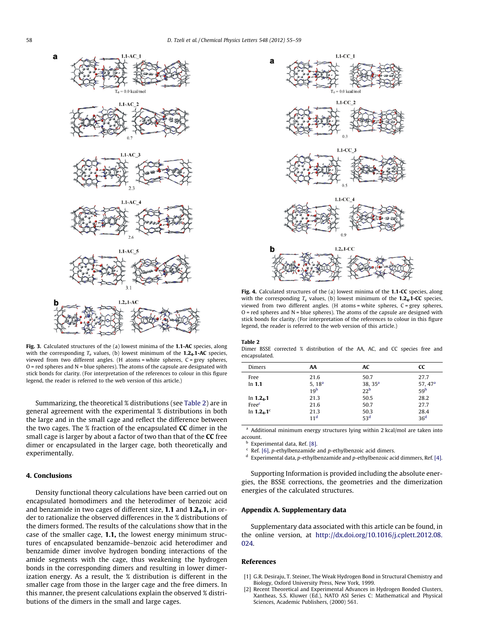<span id="page-3-0"></span>

Fig. 3. Calculated structures of the (a) lowest minima of the 1.1-AC species, along with the corresponding  $T_e$  values, (b) lowest minimum of the 1.24.1-AC species, viewed from two different angles. (H atoms = white spheres, C = grey spheres,  $O$  = red spheres and  $N$  = blue spheres). The atoms of the capsule are designated with stick bonds for clarity. (For interpretation of the references to colour in this figure legend, the reader is referred to the web version of this article.)

Summarizing, the theoretical % distributions (see Table 2) are in general agreement with the experimental % distributions in both the large and in the small cage and reflect the difference between the two cages. The % fraction of the encapsulated CC dimer in the small cage is larger by about a factor of two than that of the CC free dimer or encapsulated in the larger cage, both theoretically and experimentally.

# 4. Conclusions

Density functional theory calculations have been carried out on encapsulated homodimers and the heterodimer of benzoic acid and benzamide in two cages of different size, 1.1 and 1.24.1, in order to rationalize the observed differences in the % distributions of the dimers formed. The results of the calculations show that in the case of the smaller cage, 1.1, the lowest energy minimum structures of encapsulated benzamide–benzoic acid heterodimer and benzamide dimer involve hydrogen bonding interactions of the amide segments with the cage, thus weakening the hydrogen bonds in the corresponding dimers and resulting in lower dimerization energy. As a result, the % distribution is different in the smaller cage from those in the larger cage and the free dimers. In this manner, the present calculations explain the observed % distributions of the dimers in the small and large cages.



Fig. 4. Calculated structures of the (a) lowest minima of the 1.1-CC species, along with the corresponding  $T_e$  values, (b) lowest minimum of the 1.24.1-CC species, viewed from two different angles. (H atoms = white spheres, C = grey spheres,  $O =$  red spheres and  $N =$  blue spheres). The atoms of the capsule are designed with stick bonds for clarity. (For interpretation of the references to colour in this figure legend, the reader is referred to the web version of this article.)

#### Table 2

Dimer BSSE corrected % distribution of the AA, AC, and CC species free and encapsulated.

| Dimers         | AA                 | AC              | <b>CC</b>          |
|----------------|--------------------|-----------------|--------------------|
| Free           | 21.6               | 50.7            | 27.7               |
| In $1.1$       | 5, 18 <sup>a</sup> | 38, $35a$       | 57.47 <sup>a</sup> |
|                | 19 <sup>b</sup>    | 22 <sup>b</sup> | 59 <sup>b</sup>    |
| In $1.24$ .1   | 21.3               | 50.5            | 28.2               |
| Freec          | 21.6               | 50.7            | 27.7               |
| In $1.2_4.1^c$ | 21.3               | 50.3            | 28.4               |
|                | 11 <sup>d</sup>    | 53 <sup>d</sup> | 36 <sup>d</sup>    |

<sup>a</sup> Additional minimum energy structures lying within 2 kcal/mol are taken into account.

**Experimental data, Ref.** [\[8\].](#page-4-0)

Ref.  $[6]$ , p-ethylbenzamide and p-ethylbenzoic acid dimers.

 $d$  Experimental data, p-ethylbenzamide and p-ethylbenzoic acid dimmers, Ref. [\[4\]](#page-4-0).

Supporting Information is provided including the absolute energies, the BSSE corrections, the geometries and the dimerization energies of the calculated structures.

## Appendix A. Supplementary data

Supplementary data associated with this article can be found, in the online version, at [http://dx.doi.org/10.1016/j.cplett.2012.08.](http://dx.doi.org/10.1016/j.cplett.2012.08.024) [024.](http://dx.doi.org/10.1016/j.cplett.2012.08.024)

#### References

- [1] G.R. Desiraju, T. Steiner, The Weak Hydrogen Bond in Structural Chemistry and Biology, Oxford University Press, New York, 1999.
- [2] Recent Theoretical and Experimental Advances in Hydrogen Bonded Clusters, Xantheas, S.S. Kluwer (Ed.), NATO ASI Series C: Mathematical and Physical Sciences, Academic Publishers, (2000) 561.